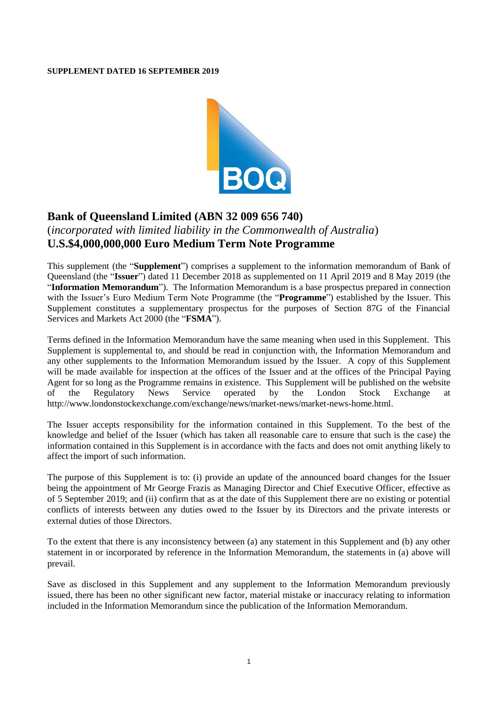#### **SUPPLEMENT DATED 16 SEPTEMBER 2019**



# **Bank of Queensland Limited (ABN 32 009 656 740)**

## (*incorporated with limited liability in the Commonwealth of Australia*) **U.S.\$4,000,000,000 Euro Medium Term Note Programme**

This supplement (the "**Supplement**") comprises a supplement to the information memorandum of Bank of Queensland (the "**Issuer**") dated 11 December 2018 as supplemented on 11 April 2019 and 8 May 2019 (the "**Information Memorandum**"). The Information Memorandum is a base prospectus prepared in connection with the Issuer's Euro Medium Term Note Programme (the "**Programme**") established by the Issuer. This Supplement constitutes a supplementary prospectus for the purposes of Section 87G of the Financial Services and Markets Act 2000 (the "**FSMA**").

Terms defined in the Information Memorandum have the same meaning when used in this Supplement. This Supplement is supplemental to, and should be read in conjunction with, the Information Memorandum and any other supplements to the Information Memorandum issued by the Issuer. A copy of this Supplement will be made available for inspection at the offices of the Issuer and at the offices of the Principal Paying Agent for so long as the Programme remains in existence. This Supplement will be published on the website of the Regulatory News Service operated by the London Stock Exchange at [http://www.londonstockexchange.com/exchange/news/market-news/market-news-home.html.](http://www.londonstockexchange.com/exchange/news/market-news/market-news-home.html)

The Issuer accepts responsibility for the information contained in this Supplement. To the best of the knowledge and belief of the Issuer (which has taken all reasonable care to ensure that such is the case) the information contained in this Supplement is in accordance with the facts and does not omit anything likely to affect the import of such information.

The purpose of this Supplement is to: (i) provide an update of the announced board changes for the Issuer being the appointment of Mr George Frazis as Managing Director and Chief Executive Officer, effective as of 5 September 2019; and (ii) confirm that as at the date of this Supplement there are no existing or potential conflicts of interests between any duties owed to the Issuer by its Directors and the private interests or external duties of those Directors.

To the extent that there is any inconsistency between (a) any statement in this Supplement and (b) any other statement in or incorporated by reference in the Information Memorandum, the statements in (a) above will prevail.

Save as disclosed in this Supplement and any supplement to the Information Memorandum previously issued, there has been no other significant new factor, material mistake or inaccuracy relating to information included in the Information Memorandum since the publication of the Information Memorandum.